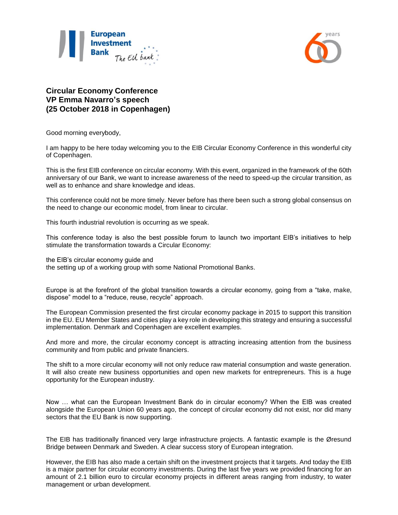



## **Circular Economy Conference VP Emma Navarro's speech (25 October 2018 in Copenhagen)**

Good morning everybody,

I am happy to be here today welcoming you to the EIB Circular Economy Conference in this wonderful city of Copenhagen.

This is the first EIB conference on circular economy. With this event, organized in the framework of the 60th anniversary of our Bank, we want to increase awareness of the need to speed-up the circular transition, as well as to enhance and share knowledge and ideas.

This conference could not be more timely. Never before has there been such a strong global consensus on the need to change our economic model, from linear to circular.

This fourth industrial revolution is occurring as we speak.

This conference today is also the best possible forum to launch two important EIB's initiatives to help stimulate the transformation towards a Circular Economy:

the EIB's circular economy guide and the setting up of a working group with some National Promotional Banks.

Europe is at the forefront of the global transition towards a circular economy, going from a "take, make, dispose" model to a "reduce, reuse, recycle" approach.

The European Commission presented the first circular economy package in 2015 to support this transition in the EU. EU Member States and cities play a key role in developing this strategy and ensuring a successful implementation. Denmark and Copenhagen are excellent examples.

And more and more, the circular economy concept is attracting increasing attention from the business community and from public and private financiers.

The shift to a more circular economy will not only reduce raw material consumption and waste generation. It will also create new business opportunities and open new markets for entrepreneurs. This is a huge opportunity for the European industry.

Now … what can the European Investment Bank do in circular economy? When the EIB was created alongside the European Union 60 years ago, the concept of circular economy did not exist, nor did many sectors that the EU Bank is now supporting.

The EIB has traditionally financed very large infrastructure projects. A fantastic example is the Øresund Bridge between Denmark and Sweden. A clear success story of European integration.

However, the EIB has also made a certain shift on the investment projects that it targets. And today the EIB is a major partner for circular economy investments. During the last five years we provided financing for an amount of 2.1 billion euro to circular economy projects in different areas ranging from industry, to water management or urban development.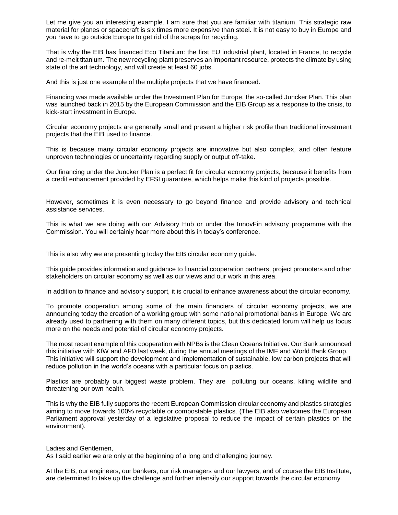Let me give you an interesting example. I am sure that you are familiar with titanium. This strategic raw material for planes or spacecraft is six times more expensive than steel. It is not easy to buy in Europe and you have to go outside Europe to get rid of the scraps for recycling.

That is why the EIB has financed Eco Titanium: the first EU industrial plant, located in France, to recycle and re-melt titanium. The new recycling plant preserves an important resource, protects the climate by using state of the art technology, and will create at least 60 jobs.

And this is just one example of the multiple projects that we have financed.

Financing was made available under the Investment Plan for Europe, the so-called Juncker Plan. This plan was launched back in 2015 by the European Commission and the EIB Group as a response to the crisis, to kick-start investment in Europe.

Circular economy projects are generally small and present a higher risk profile than traditional investment projects that the EIB used to finance.

This is because many circular economy projects are innovative but also complex, and often feature unproven technologies or uncertainty regarding supply or output off-take.

Our financing under the Juncker Plan is a perfect fit for circular economy projects, because it benefits from a credit enhancement provided by EFSI guarantee, which helps make this kind of projects possible.

However, sometimes it is even necessary to go beyond finance and provide advisory and technical assistance services.

This is what we are doing with our Advisory Hub or under the InnovFin advisory programme with the Commission. You will certainly hear more about this in today's conference.

This is also why we are presenting today the EIB circular economy guide.

This guide provides information and guidance to financial cooperation partners, project promoters and other stakeholders on circular economy as well as our views and our work in this area.

In addition to finance and advisory support, it is crucial to enhance awareness about the circular economy.

To promote cooperation among some of the main financiers of circular economy projects, we are announcing today the creation of a working group with some national promotional banks in Europe. We are already used to partnering with them on many different topics, but this dedicated forum will help us focus more on the needs and potential of circular economy projects.

The most recent example of this cooperation with NPBs is the Clean Oceans Initiative. Our Bank announced this initiative with KfW and AFD last week, during the annual meetings of the IMF and World Bank Group. This initiative will support the development and implementation of sustainable, low carbon projects that will reduce pollution in the world's oceans with a particular focus on plastics.

Plastics are probably our biggest waste problem. They are polluting our oceans, killing wildlife and threatening our own health.

This is why the EIB fully supports the recent European Commission circular economy and plastics strategies aiming to move towards 100% recyclable or compostable plastics. (The EIB also welcomes the European Parliament approval yesterday of a legislative proposal to reduce the impact of certain plastics on the environment).

## Ladies and Gentlemen,

As I said earlier we are only at the beginning of a long and challenging journey.

At the EIB, our engineers, our bankers, our risk managers and our lawyers, and of course the EIB Institute, are determined to take up the challenge and further intensify our support towards the circular economy.